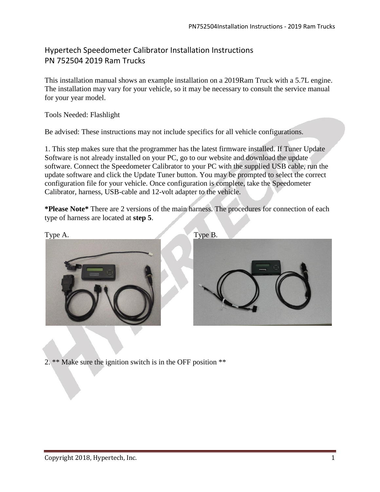## Hypertech Speedometer Calibrator Installation Instructions PN 752504 2019 Ram Trucks

This installation manual shows an example installation on a 2019Ram Truck with a 5.7L engine. The installation may vary for your vehicle, so it may be necessary to consult the service manual for your year model.

## Tools Needed: Flashlight

Be advised: These instructions may not include specifics for all vehicle configurations.

1. This step makes sure that the programmer has the latest firmware installed. If Tuner Update Software is not already installed on your PC, go to our website and download the update software. Connect the Speedometer Calibrator to your PC with the supplied USB cable, run the update software and click the Update Tuner button. You may be prompted to select the correct configuration file for your vehicle. Once configuration is complete, take the Speedometer Calibrator, harness, USB-cable and 12-volt adapter to the vehicle.

**\*Please Note\*** There are 2 versions of the main harness. The procedures for connection of each type of harness are located at **step 5**.



2. \*\* Make sure the ignition switch is in the OFF position \*\*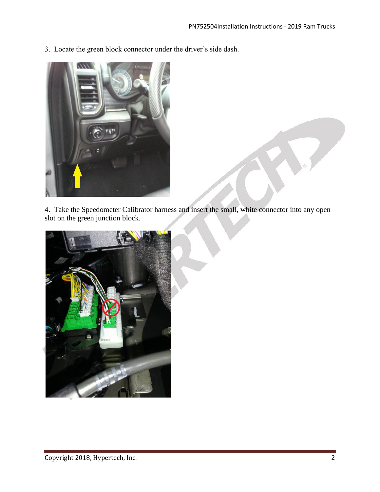3. Locate the green block connector under the driver's side dash.



4. Take the Speedometer Calibrator harness and insert the small, white connector into any open slot on the green junction block.